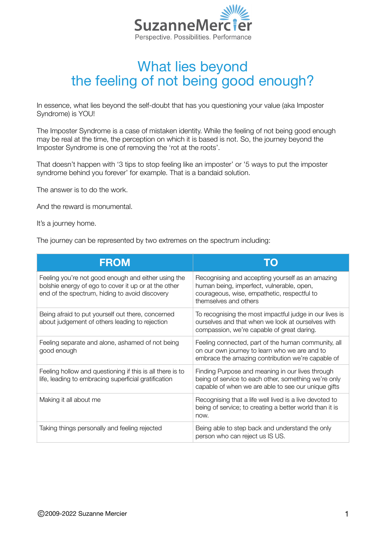

## What lies beyond the feeling of not being good enough?

In essence, what lies beyond the self-doubt that has you questioning your value (aka Imposter Syndrome) is YOU!

The Imposter Syndrome is a case of mistaken identity. While the feeling of not being good enough may be real at the time, the perception on which it is based is not. So, the journey beyond the Imposter Syndrome is one of removing the 'rot at the roots'.

That doesn't happen with '3 tips to stop feeling like an imposter' or '5 ways to put the imposter syndrome behind you forever' for example. That is a bandaid solution.

The answer is to do the work.

And the reward is monumental.

It's a journey home.

The journey can be represented by two extremes on the spectrum including:

| <b>FROM</b>                                                                                                                                                   | TО                                                                                                                                                                    |
|---------------------------------------------------------------------------------------------------------------------------------------------------------------|-----------------------------------------------------------------------------------------------------------------------------------------------------------------------|
| Feeling you're not good enough and either using the<br>bolshie energy of ego to cover it up or at the other<br>end of the spectrum, hiding to avoid discovery | Recognising and accepting yourself as an amazing<br>human being, imperfect, vulnerable, open,<br>courageous, wise, empathetic, respectful to<br>themselves and others |
| Being afraid to put yourself out there, concerned<br>about judgement of others leading to rejection                                                           | To recognising the most impactful judge in our lives is<br>ourselves and that when we look at ourselves with<br>compassion, we're capable of great daring.            |
| Feeling separate and alone, ashamed of not being<br>good enough                                                                                               | Feeling connected, part of the human community, all<br>on our own journey to learn who we are and to<br>embrace the amazing contribution we're capable of             |
| Feeling hollow and questioning if this is all there is to<br>life, leading to embracing superficial gratification                                             | Finding Purpose and meaning in our lives through<br>being of service to each other, something we're only<br>capable of when we are able to see our unique gifts       |
| Making it all about me                                                                                                                                        | Recognising that a life well lived is a live devoted to<br>being of service; to creating a better world than it is<br>now.                                            |
| Taking things personally and feeling rejected                                                                                                                 | Being able to step back and understand the only<br>person who can reject us IS US.                                                                                    |